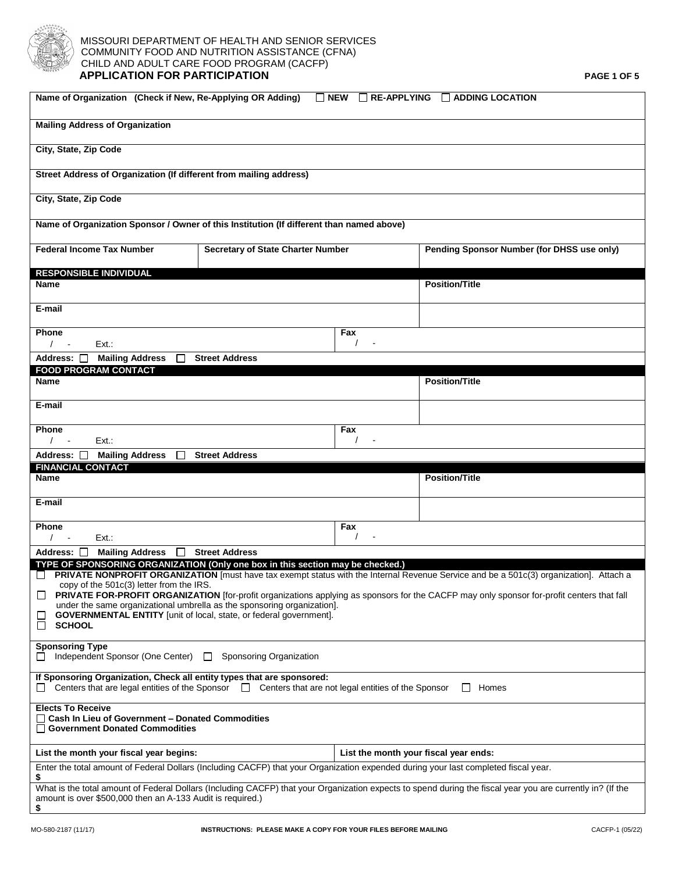

### MISSOURI DEPARTMENT OF HEALTH AND SENIOR SERVICES  $\Diamond$  COMMUNITY FOOD AND NUTRITION ASSISTANCE (CFNA) CHILD AND ADULT CARE FOOD PROGRAM (CACFP) **APPLICATION FOR PARTICIPATION PAGE 1 OF 5**

| Name of Organization (Check if New, Re-Applying OR Adding)<br>$\Box$ NEW $\Box$ RE-APPLYING $\Box$ ADDING LOCATION                                                                                                                                                                                      |                                       |                                            |  |
|---------------------------------------------------------------------------------------------------------------------------------------------------------------------------------------------------------------------------------------------------------------------------------------------------------|---------------------------------------|--------------------------------------------|--|
| <b>Mailing Address of Organization</b>                                                                                                                                                                                                                                                                  |                                       |                                            |  |
| City, State, Zip Code                                                                                                                                                                                                                                                                                   |                                       |                                            |  |
| Street Address of Organization (If different from mailing address)                                                                                                                                                                                                                                      |                                       |                                            |  |
| City, State, Zip Code                                                                                                                                                                                                                                                                                   |                                       |                                            |  |
| Name of Organization Sponsor / Owner of this Institution (If different than named above)                                                                                                                                                                                                                |                                       |                                            |  |
| <b>Federal Income Tax Number</b><br><b>Secretary of State Charter Number</b>                                                                                                                                                                                                                            |                                       | Pending Sponsor Number (for DHSS use only) |  |
| <b>RESPONSIBLE INDIVIDUAL</b>                                                                                                                                                                                                                                                                           |                                       |                                            |  |
| <b>Name</b>                                                                                                                                                                                                                                                                                             |                                       | <b>Position/Title</b>                      |  |
| E-mail                                                                                                                                                                                                                                                                                                  |                                       |                                            |  |
| <b>Phone</b><br>Ext.                                                                                                                                                                                                                                                                                    | Fax                                   |                                            |  |
| <b>Mailing Address</b><br>П<br><b>Street Address</b><br>Address: $\Box$                                                                                                                                                                                                                                 |                                       |                                            |  |
| <b>FOOD PROGRAM CONTACT</b>                                                                                                                                                                                                                                                                             |                                       |                                            |  |
| <b>Name</b>                                                                                                                                                                                                                                                                                             |                                       | <b>Position/Title</b>                      |  |
| E-mail                                                                                                                                                                                                                                                                                                  |                                       |                                            |  |
| Phone<br>Fax<br>Ext.                                                                                                                                                                                                                                                                                    |                                       |                                            |  |
|                                                                                                                                                                                                                                                                                                         |                                       |                                            |  |
| <b>Mailing Address</b><br>Address: $\Box$<br><b>Street Address</b>                                                                                                                                                                                                                                      |                                       |                                            |  |
| <b>FINANCIAL CONTACT</b>                                                                                                                                                                                                                                                                                |                                       |                                            |  |
| Name                                                                                                                                                                                                                                                                                                    |                                       | <b>Position/Title</b>                      |  |
| E-mail                                                                                                                                                                                                                                                                                                  |                                       |                                            |  |
| Phone<br>$Ext.$ :<br>$\sqrt{2}$                                                                                                                                                                                                                                                                         | Fax<br>$\prime$                       |                                            |  |
| <b>Mailing Address</b><br><b>Street Address</b><br>Address: $\Box$<br>$\perp$                                                                                                                                                                                                                           |                                       |                                            |  |
| TYPE OF SPONSORING ORGANIZATION (Only one box in this section may be checked.)                                                                                                                                                                                                                          |                                       |                                            |  |
| PRIVATE NONPROFIT ORGANIZATION [must have tax exempt status with the Internal Revenue Service and be a 501c(3) organization]. Attach a                                                                                                                                                                  |                                       |                                            |  |
| copy of the 501c(3) letter from the IRS.                                                                                                                                                                                                                                                                |                                       |                                            |  |
| PRIVATE FOR-PROFIT ORGANIZATION [for-profit organizations applying as sponsors for the CACFP may only sponsor for-profit centers that fall<br>$\Box$                                                                                                                                                    |                                       |                                            |  |
| under the same organizational umbrella as the sponsoring organization].<br><b>GOVERNMENTAL ENTITY</b> [unit of local, state, or federal government].                                                                                                                                                    |                                       |                                            |  |
| <b>SCHOOL</b><br>$\Box$                                                                                                                                                                                                                                                                                 |                                       |                                            |  |
| <b>Sponsoring Type</b><br>Independent Sponsor (One Center) □<br>Sponsoring Organization<br>$\perp$                                                                                                                                                                                                      |                                       |                                            |  |
| If Sponsoring Organization, Check all entity types that are sponsored:                                                                                                                                                                                                                                  |                                       |                                            |  |
| Centers that are legal entities of the Sponsor $\Box$ Centers that are not legal entities of the Sponsor                                                                                                                                                                                                |                                       | Homes                                      |  |
| <b>Elects To Receive</b><br>$\Box$ Cash In Lieu of Government – Donated Commodities<br>Government Donated Commodities                                                                                                                                                                                   |                                       |                                            |  |
| List the month your fiscal year begins:                                                                                                                                                                                                                                                                 | List the month your fiscal year ends: |                                            |  |
| Enter the total amount of Federal Dollars (Including CACFP) that your Organization expended during your last completed fiscal year.<br>\$<br>What is the total amount of Federal Dollars (Including CACFP) that your Organization expects to spend during the fiscal year you are currently in? (If the |                                       |                                            |  |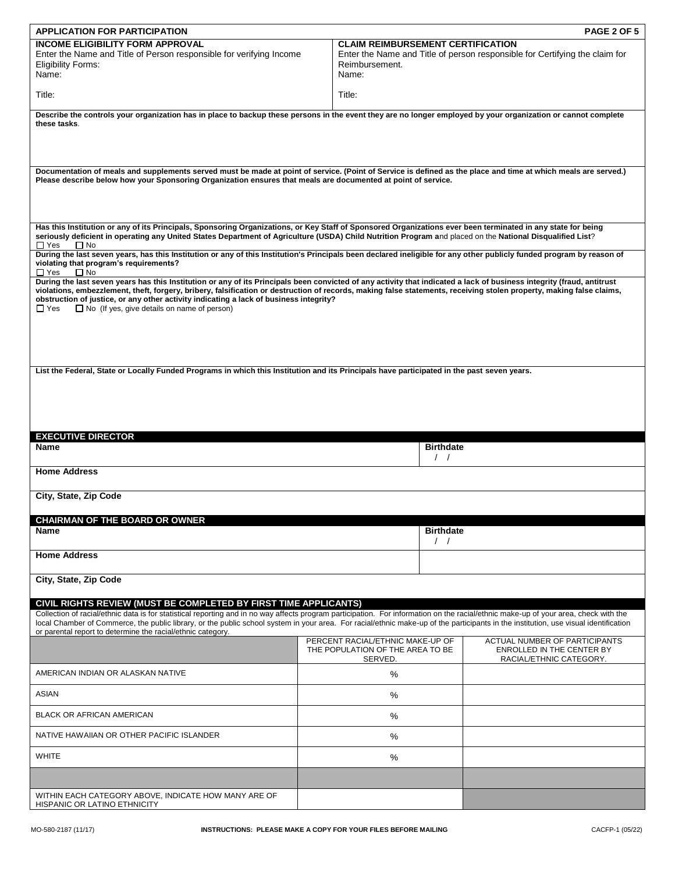| <b>APPLICATION FOR PARTICIPATION</b>                                                                                                                                                                                                                                                                                                                                                                                                                                                                                          |   |                                                                                 |                                      | PAGE 2 OF 5                                                                                  |
|-------------------------------------------------------------------------------------------------------------------------------------------------------------------------------------------------------------------------------------------------------------------------------------------------------------------------------------------------------------------------------------------------------------------------------------------------------------------------------------------------------------------------------|---|---------------------------------------------------------------------------------|--------------------------------------|----------------------------------------------------------------------------------------------|
| <b>INCOME ELIGIBILITY FORM APPROVAL</b><br>Enter the Name and Title of Person responsible for verifying Income<br><b>Eligibility Forms:</b><br>Name:                                                                                                                                                                                                                                                                                                                                                                          |   | <b>CLAIM REIMBURSEMENT CERTIFICATION</b><br>Reimbursement.<br>Name:             |                                      | Enter the Name and Title of person responsible for Certifying the claim for                  |
| Title:                                                                                                                                                                                                                                                                                                                                                                                                                                                                                                                        |   | Title:                                                                          |                                      |                                                                                              |
| Describe the controls your organization has in place to backup these persons in the event they are no longer employed by your organization or cannot complete<br>these tasks.                                                                                                                                                                                                                                                                                                                                                 |   |                                                                                 |                                      |                                                                                              |
|                                                                                                                                                                                                                                                                                                                                                                                                                                                                                                                               |   |                                                                                 |                                      |                                                                                              |
| Documentation of meals and supplements served must be made at point of service. (Point of Service is defined as the place and time at which meals are served.)<br>Please describe below how your Sponsoring Organization ensures that meals are documented at point of service.                                                                                                                                                                                                                                               |   |                                                                                 |                                      |                                                                                              |
| Has this Institution or any of its Principals, Sponsoring Organizations, or Key Staff of Sponsored Organizations ever been terminated in any state for being<br>seriously deficient in operating any United States Department of Agriculture (USDA) Child Nutrition Program and placed on the National Disqualified List?<br>$\square$ Yes<br>$\Box$ No                                                                                                                                                                       |   |                                                                                 |                                      |                                                                                              |
| During the last seven years, has this Institution or any of this Institution's Principals been declared ineligible for any other publicly funded program by reason of<br>violating that program's requirements?<br>$\square$ No                                                                                                                                                                                                                                                                                               |   |                                                                                 |                                      |                                                                                              |
| $\square$ Yes<br>During the last seven years has this Institution or any of its Principals been convicted of any activity that indicated a lack of business integrity (fraud, antitrust<br>violations, embezzlement, theft, forgery, bribery, falsification or destruction of records, making false statements, receiving stolen property, making false claims,<br>obstruction of justice, or any other activity indicating a lack of business integrity?<br>$\Box$ Yes<br>$\Box$ No (If yes, give details on name of person) |   |                                                                                 |                                      |                                                                                              |
| List the Federal, State or Locally Funded Programs in which this Institution and its Principals have participated in the past seven years.                                                                                                                                                                                                                                                                                                                                                                                    |   |                                                                                 |                                      |                                                                                              |
| <b>EXECUTIVE DIRECTOR</b><br>Name                                                                                                                                                                                                                                                                                                                                                                                                                                                                                             |   |                                                                                 | <b>Birthdate</b><br>$\left  \right $ |                                                                                              |
| <b>Home Address</b>                                                                                                                                                                                                                                                                                                                                                                                                                                                                                                           |   |                                                                                 |                                      |                                                                                              |
| City, State, Zip Code                                                                                                                                                                                                                                                                                                                                                                                                                                                                                                         |   |                                                                                 |                                      |                                                                                              |
| <b>CHAIRMAN OF THE BOARD OR OWNER</b>                                                                                                                                                                                                                                                                                                                                                                                                                                                                                         |   |                                                                                 |                                      |                                                                                              |
| Name                                                                                                                                                                                                                                                                                                                                                                                                                                                                                                                          |   |                                                                                 | <b>Birthdate</b><br>$\left  \right $ |                                                                                              |
| <b>Home Address</b>                                                                                                                                                                                                                                                                                                                                                                                                                                                                                                           |   |                                                                                 |                                      |                                                                                              |
| City, State, Zip Code                                                                                                                                                                                                                                                                                                                                                                                                                                                                                                         |   |                                                                                 |                                      |                                                                                              |
| CIVIL RIGHTS REVIEW (MUST BE COMPLETED BY FIRST TIME APPLICANTS)<br>Collection of racial/ethnic data is for statistical reporting and in no way affects program participation. For information on the racial/ethnic make-up of your area, check with the<br>local Chamber of Commerce, the public library, or the public school system in your area. For racial/ethnic make-up of the participants in the institution, use visual identification                                                                              |   |                                                                                 |                                      |                                                                                              |
| or parental report to determine the racial/ethnic category.                                                                                                                                                                                                                                                                                                                                                                                                                                                                   |   | PERCENT RACIAL/ETHNIC MAKE-UP OF<br>THE POPULATION OF THE AREA TO BE<br>SERVED. |                                      | <b>ACTUAL NUMBER OF PARTICIPANTS</b><br>ENROLLED IN THE CENTER BY<br>RACIAL/ETHNIC CATEGORY. |
| AMERICAN INDIAN OR ALASKAN NATIVE                                                                                                                                                                                                                                                                                                                                                                                                                                                                                             |   | %                                                                               |                                      |                                                                                              |
| ASIAN                                                                                                                                                                                                                                                                                                                                                                                                                                                                                                                         |   | %                                                                               |                                      |                                                                                              |
| BLACK OR AFRICAN AMERICAN                                                                                                                                                                                                                                                                                                                                                                                                                                                                                                     | % |                                                                                 |                                      |                                                                                              |
| NATIVE HAWAIIAN OR OTHER PACIFIC ISLANDER                                                                                                                                                                                                                                                                                                                                                                                                                                                                                     | % |                                                                                 |                                      |                                                                                              |
| <b>WHITE</b>                                                                                                                                                                                                                                                                                                                                                                                                                                                                                                                  |   | %                                                                               |                                      |                                                                                              |
|                                                                                                                                                                                                                                                                                                                                                                                                                                                                                                                               |   |                                                                                 |                                      |                                                                                              |
| WITHIN EACH CATEGORY ABOVE, INDICATE HOW MANY ARE OF<br>HISPANIC OR LATINO ETHNICITY                                                                                                                                                                                                                                                                                                                                                                                                                                          |   |                                                                                 |                                      |                                                                                              |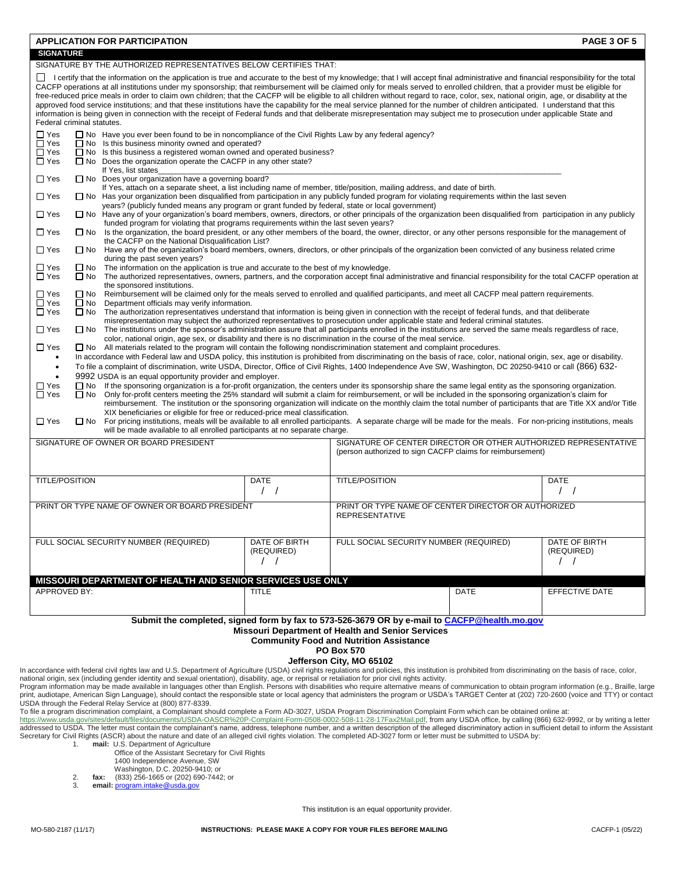|                                                                                                                                                                                                                                                                                                                                                                                                                                                                                                                                |                                                                                                                                                                                                                                                                                                                                                                                                                                                                                                                                                                                                                                                                                                                                                                                                                                                                                                                                                                   | <b>APPLICATION FOR PARTICIPATION</b>                                                                                                                                                                                                                                                                                                                                            |                                                 |                                                                                                                               |             | <b>PAGE 3 OF 5</b>                                    |
|--------------------------------------------------------------------------------------------------------------------------------------------------------------------------------------------------------------------------------------------------------------------------------------------------------------------------------------------------------------------------------------------------------------------------------------------------------------------------------------------------------------------------------|-------------------------------------------------------------------------------------------------------------------------------------------------------------------------------------------------------------------------------------------------------------------------------------------------------------------------------------------------------------------------------------------------------------------------------------------------------------------------------------------------------------------------------------------------------------------------------------------------------------------------------------------------------------------------------------------------------------------------------------------------------------------------------------------------------------------------------------------------------------------------------------------------------------------------------------------------------------------|---------------------------------------------------------------------------------------------------------------------------------------------------------------------------------------------------------------------------------------------------------------------------------------------------------------------------------------------------------------------------------|-------------------------------------------------|-------------------------------------------------------------------------------------------------------------------------------|-------------|-------------------------------------------------------|
| <b>SIGNATURE</b>                                                                                                                                                                                                                                                                                                                                                                                                                                                                                                               |                                                                                                                                                                                                                                                                                                                                                                                                                                                                                                                                                                                                                                                                                                                                                                                                                                                                                                                                                                   |                                                                                                                                                                                                                                                                                                                                                                                 |                                                 |                                                                                                                               |             |                                                       |
|                                                                                                                                                                                                                                                                                                                                                                                                                                                                                                                                |                                                                                                                                                                                                                                                                                                                                                                                                                                                                                                                                                                                                                                                                                                                                                                                                                                                                                                                                                                   | SIGNATURE BY THE AUTHORIZED REPRESENTATIVES BELOW CERTIFIES THAT:                                                                                                                                                                                                                                                                                                               |                                                 |                                                                                                                               |             |                                                       |
|                                                                                                                                                                                                                                                                                                                                                                                                                                                                                                                                | I certify that the information on the application is true and accurate to the best of my knowledge; that I will accept final administrative and financial responsibility for the total<br>CACFP operations at all institutions under my sponsorship; that reimbursement will be claimed only for meals served to enrolled children, that a provider must be eligible for<br>free-reduced price meals in order to claim own children; that the CACFP will be eligible to all children without regard to race, color, sex, national origin, age, or disability at the<br>approved food service institutions; and that these institutions have the capability for the meal service planned for the number of children anticipated. I understand that this<br>information is being given in connection with the receipt of Federal funds and that deliberate misrepresentation may subject me to prosecution under applicable State and<br>Federal criminal statutes. |                                                                                                                                                                                                                                                                                                                                                                                 |                                                 |                                                                                                                               |             |                                                       |
| $\Box$ Yes<br>$\Box$ Yes<br>$\Box$ Yes<br>$\Box$ Yes                                                                                                                                                                                                                                                                                                                                                                                                                                                                           |                                                                                                                                                                                                                                                                                                                                                                                                                                                                                                                                                                                                                                                                                                                                                                                                                                                                                                                                                                   | □ No Have you ever been found to be in noncompliance of the Civil Rights Law by any federal agency?<br>$\Box$ No Is this business minority owned and operated?<br>$\Box$ No Is this business a registered woman owned and operated business?<br>$\Box$ No Does the organization operate the CACFP in any other state?<br>If Yes, list states                                    |                                                 |                                                                                                                               |             |                                                       |
| $\Box$ Yes                                                                                                                                                                                                                                                                                                                                                                                                                                                                                                                     |                                                                                                                                                                                                                                                                                                                                                                                                                                                                                                                                                                                                                                                                                                                                                                                                                                                                                                                                                                   | $\Box$ No Does your organization have a governing board?                                                                                                                                                                                                                                                                                                                        |                                                 |                                                                                                                               |             |                                                       |
| $\Box$ Yes                                                                                                                                                                                                                                                                                                                                                                                                                                                                                                                     |                                                                                                                                                                                                                                                                                                                                                                                                                                                                                                                                                                                                                                                                                                                                                                                                                                                                                                                                                                   | If Yes, attach on a separate sheet, a list including name of member, title/position, mailing address, and date of birth.<br>□ No Has your organization been disqualified from participation in any publicly funded program for violating requirements within the last seven<br>years? (publicly funded means any program or grant funded by federal, state or local government) |                                                 |                                                                                                                               |             |                                                       |
| $\Box$ Yes                                                                                                                                                                                                                                                                                                                                                                                                                                                                                                                     |                                                                                                                                                                                                                                                                                                                                                                                                                                                                                                                                                                                                                                                                                                                                                                                                                                                                                                                                                                   | □ No Have any of your organization's board members, owners, directors, or other principals of the organization been disqualified from participation in any publicly<br>funded program for violating that programs requirements within the last seven years?                                                                                                                     |                                                 |                                                                                                                               |             |                                                       |
| $\Box$ Yes                                                                                                                                                                                                                                                                                                                                                                                                                                                                                                                     | $\Box$ No                                                                                                                                                                                                                                                                                                                                                                                                                                                                                                                                                                                                                                                                                                                                                                                                                                                                                                                                                         | Is the organization, the board president, or any other members of the board, the owner, director, or any other persons responsible for the management of<br>the CACFP on the National Disqualification List?                                                                                                                                                                    |                                                 |                                                                                                                               |             |                                                       |
| $\Box$ Yes                                                                                                                                                                                                                                                                                                                                                                                                                                                                                                                     |                                                                                                                                                                                                                                                                                                                                                                                                                                                                                                                                                                                                                                                                                                                                                                                                                                                                                                                                                                   | □ No Have any of the organization's board members, owners, directors, or other principals of the organization been convicted of any business related crime<br>during the past seven years?                                                                                                                                                                                      |                                                 |                                                                                                                               |             |                                                       |
| $\Box$ Yes<br>$\Box$ Yes                                                                                                                                                                                                                                                                                                                                                                                                                                                                                                       | $\square$ No<br>$\Box$ No                                                                                                                                                                                                                                                                                                                                                                                                                                                                                                                                                                                                                                                                                                                                                                                                                                                                                                                                         | The information on the application is true and accurate to the best of my knowledge.<br>The authorized representatives, owners, partners, and the corporation accept final administrative and financial responsibility for the total CACFP operation at                                                                                                                         |                                                 |                                                                                                                               |             |                                                       |
| $\Box$ Yes<br>$\Box$ Yes                                                                                                                                                                                                                                                                                                                                                                                                                                                                                                       | the sponsored institutions.<br>$\square$ No<br>Reimbursement will be claimed only for the meals served to enrolled and qualified participants, and meet all CACFP meal pattern requirements.<br>$\square$ No<br>Department officials may verify information.                                                                                                                                                                                                                                                                                                                                                                                                                                                                                                                                                                                                                                                                                                      |                                                                                                                                                                                                                                                                                                                                                                                 |                                                 |                                                                                                                               |             |                                                       |
| $\Box$ Yes                                                                                                                                                                                                                                                                                                                                                                                                                                                                                                                     | $\Box$ No                                                                                                                                                                                                                                                                                                                                                                                                                                                                                                                                                                                                                                                                                                                                                                                                                                                                                                                                                         | The authorization representatives understand that information is being given in connection with the receipt of federal funds, and that deliberate<br>misrepresentation may subject the authorized representatives to prosecution under applicable state and federal criminal statutes.                                                                                          |                                                 |                                                                                                                               |             |                                                       |
| $\Box$ Yes                                                                                                                                                                                                                                                                                                                                                                                                                                                                                                                     |                                                                                                                                                                                                                                                                                                                                                                                                                                                                                                                                                                                                                                                                                                                                                                                                                                                                                                                                                                   | □ No The institutions under the sponsor's administration assure that all participants enrolled in the institutions are served the same meals regardless of race,<br>color, national origin, age sex, or disability and there is no discrimination in the course of the meal service.                                                                                            |                                                 |                                                                                                                               |             |                                                       |
| $\Box$ Yes<br>$\bullet$                                                                                                                                                                                                                                                                                                                                                                                                                                                                                                        | $\Box$ No All materials related to the program will contain the following nondiscrimination statement and complaint procedures.<br>In accordance with Federal law and USDA policy, this institution is prohibited from discriminating on the basis of race, color, national origin, sex, age or disability.                                                                                                                                                                                                                                                                                                                                                                                                                                                                                                                                                                                                                                                       |                                                                                                                                                                                                                                                                                                                                                                                 |                                                 |                                                                                                                               |             |                                                       |
| $\bullet$                                                                                                                                                                                                                                                                                                                                                                                                                                                                                                                      | To file a complaint of discrimination, write USDA, Director, Office of Civil Rights, 1400 Independence Ave SW, Washington, DC 20250-9410 or call (866) 632-                                                                                                                                                                                                                                                                                                                                                                                                                                                                                                                                                                                                                                                                                                                                                                                                       |                                                                                                                                                                                                                                                                                                                                                                                 |                                                 |                                                                                                                               |             |                                                       |
| $\bullet$                                                                                                                                                                                                                                                                                                                                                                                                                                                                                                                      | 9992 USDA is an equal opportunity provider and employer.                                                                                                                                                                                                                                                                                                                                                                                                                                                                                                                                                                                                                                                                                                                                                                                                                                                                                                          |                                                                                                                                                                                                                                                                                                                                                                                 |                                                 |                                                                                                                               |             |                                                       |
| $\Box$ Yes<br>□ No If the sponsoring organization is a for-profit organization, the centers under its sponsorship share the same legal entity as the sponsoring organization.<br>$\Box$ Yes<br>□ No Only for-profit centers meeting the 25% standard will submit a claim for reimbursement, or will be included in the sponsoring organization's claim for<br>reimbursement. The institution or the sponsoring organization will indicate on the monthly claim the total number of participants that are Title XX and/or Title |                                                                                                                                                                                                                                                                                                                                                                                                                                                                                                                                                                                                                                                                                                                                                                                                                                                                                                                                                                   |                                                                                                                                                                                                                                                                                                                                                                                 |                                                 |                                                                                                                               |             |                                                       |
| XIX beneficiaries or eligible for free or reduced-price meal classification.<br>$\Box$ Yes<br>□ No For pricing institutions, meals will be available to all enrolled participants. A separate charge will be made for the meals. For non-pricing institutions, meals<br>will be made available to all enrolled participants at no separate charge.                                                                                                                                                                             |                                                                                                                                                                                                                                                                                                                                                                                                                                                                                                                                                                                                                                                                                                                                                                                                                                                                                                                                                                   |                                                                                                                                                                                                                                                                                                                                                                                 |                                                 |                                                                                                                               |             |                                                       |
|                                                                                                                                                                                                                                                                                                                                                                                                                                                                                                                                |                                                                                                                                                                                                                                                                                                                                                                                                                                                                                                                                                                                                                                                                                                                                                                                                                                                                                                                                                                   | SIGNATURE OF OWNER OR BOARD PRESIDENT                                                                                                                                                                                                                                                                                                                                           |                                                 | SIGNATURE OF CENTER DIRECTOR OR OTHER AUTHORIZED REPRESENTATIVE<br>(person authorized to sign CACFP claims for reimbursement) |             |                                                       |
| <b>TITLE/POSITION</b>                                                                                                                                                                                                                                                                                                                                                                                                                                                                                                          |                                                                                                                                                                                                                                                                                                                                                                                                                                                                                                                                                                                                                                                                                                                                                                                                                                                                                                                                                                   |                                                                                                                                                                                                                                                                                                                                                                                 | DATE<br>$\frac{1}{2}$                           | <b>TITLE/POSITION</b>                                                                                                         |             | DATE<br>$\left  \right $                              |
|                                                                                                                                                                                                                                                                                                                                                                                                                                                                                                                                |                                                                                                                                                                                                                                                                                                                                                                                                                                                                                                                                                                                                                                                                                                                                                                                                                                                                                                                                                                   | PRINT OR TYPE NAME OF OWNER OR BOARD PRESIDENT                                                                                                                                                                                                                                                                                                                                  |                                                 | PRINT OR TYPE NAME OF CENTER DIRECTOR OR AUTHORIZED<br><b>REPRESENTATIVE</b>                                                  |             |                                                       |
|                                                                                                                                                                                                                                                                                                                                                                                                                                                                                                                                |                                                                                                                                                                                                                                                                                                                                                                                                                                                                                                                                                                                                                                                                                                                                                                                                                                                                                                                                                                   | FULL SOCIAL SECURITY NUMBER (REQUIRED)                                                                                                                                                                                                                                                                                                                                          | DATE OF BIRTH<br>(REQUIRED)<br>$\left  \right $ | FULL SOCIAL SECURITY NUMBER (REQUIRED)                                                                                        |             | DATE OF BIRTH<br>(REQUIRED)<br>$\left  \quad \right $ |
|                                                                                                                                                                                                                                                                                                                                                                                                                                                                                                                                |                                                                                                                                                                                                                                                                                                                                                                                                                                                                                                                                                                                                                                                                                                                                                                                                                                                                                                                                                                   | MISSOURI DEPARTMENT OF HEALTH AND SENIOR SERVICES USE ONLY                                                                                                                                                                                                                                                                                                                      |                                                 |                                                                                                                               |             |                                                       |
| APPROVED BY:                                                                                                                                                                                                                                                                                                                                                                                                                                                                                                                   |                                                                                                                                                                                                                                                                                                                                                                                                                                                                                                                                                                                                                                                                                                                                                                                                                                                                                                                                                                   |                                                                                                                                                                                                                                                                                                                                                                                 | <b>TITLE</b>                                    |                                                                                                                               | <b>DATE</b> | EFFECTIVE DATE                                        |
|                                                                                                                                                                                                                                                                                                                                                                                                                                                                                                                                |                                                                                                                                                                                                                                                                                                                                                                                                                                                                                                                                                                                                                                                                                                                                                                                                                                                                                                                                                                   |                                                                                                                                                                                                                                                                                                                                                                                 |                                                 | Submit the completed, signed form by fax to 573-526-3679 OR by e-mail to CACFP@health.mo.gov                                  |             |                                                       |
|                                                                                                                                                                                                                                                                                                                                                                                                                                                                                                                                | Missouri Department of Health and Senior Services<br><b>Community Food and Nutrition Assistance</b>                                                                                                                                                                                                                                                                                                                                                                                                                                                                                                                                                                                                                                                                                                                                                                                                                                                               |                                                                                                                                                                                                                                                                                                                                                                                 |                                                 |                                                                                                                               |             |                                                       |

# **PO Box 570**

### **Jefferson City, MO 65102**

In accordance with federal civil rights law and U.S. Department of Agriculture (USDA) civil rights regulations and policies, this institution is prohibited from discriminating on the basis of race, color,<br>Program informati USDA through the Federal Relay Service at (800) 877-8339.

To file a program discrimination complaint, a Complainant should complete a Form AD-3027, USDA Program Discrimination Complaint Form which can be obtained online at:

<u>[https://www.usda.gov/sites/default/files/documents/USDA-OASCR%20P-Complaint-Form-0508-0002-508-11-28-17Fax2Mail.pdf,](https://www.usda.gov/sites/default/files/documents/USDA-OASCR%20P-Complaint-Form-0508-0002-508-11-28-17Fax2Mail.pdf) from any USDA office, by calling (866) 632-9992, or by writing a letter<br>addressed to USDA. The letter mu</u> 1. **mail:** U.S. Department of Agriculture

Office of the Assistant Secretary for Civil Rights

1400 Independence Avenue, SW Washington, D.C. 20250-9410; or

**fax:** (833) 256-1665 or (202) 690-7442; or<br>3 **email:** program intake@usda\_goy

3. **email:** [program.intake@usda.gov](mailto:program.intake@usda.gov)

This institution is an equal opportunity provider.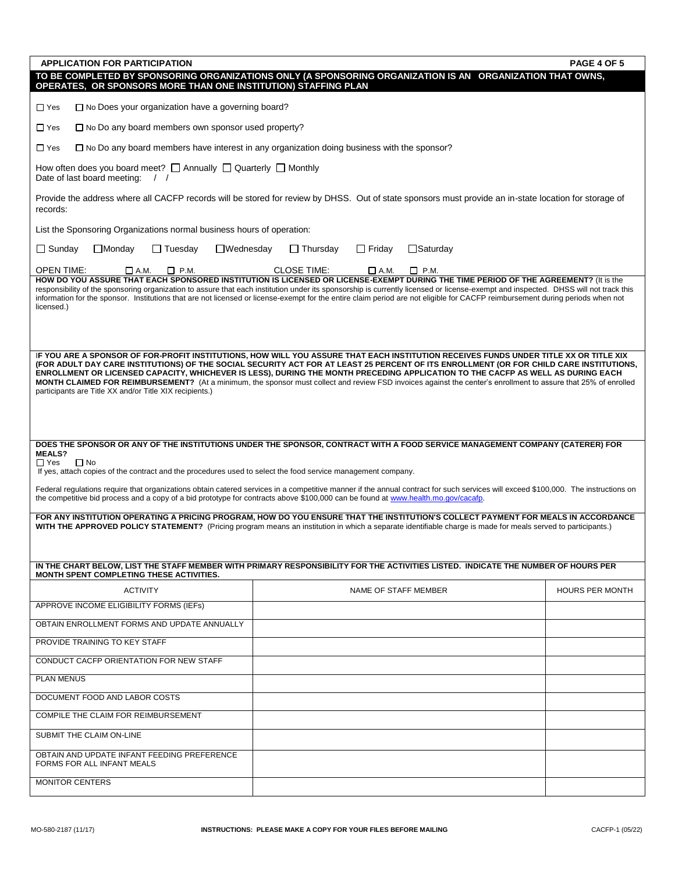| <b>APPLICATION FOR PARTICIPATION</b>                                                                                                                                                                                                                                                                                                                                                                                                                                                                                                                                                                                                              |                                    |                      | PAGE 4 OF 5            |
|---------------------------------------------------------------------------------------------------------------------------------------------------------------------------------------------------------------------------------------------------------------------------------------------------------------------------------------------------------------------------------------------------------------------------------------------------------------------------------------------------------------------------------------------------------------------------------------------------------------------------------------------------|------------------------------------|----------------------|------------------------|
| TO BE COMPLETED BY SPONSORING ORGANIZATIONS ONLY (A SPONSORING ORGANIZATION IS AN ORGANIZATION THAT OWNS,<br>OPERATES, OR SPONSORS MORE THAN ONE INSTITUTION) STAFFING PLAN                                                                                                                                                                                                                                                                                                                                                                                                                                                                       |                                    |                      |                        |
| $\Box$ Yes<br>$\Box$ No Does your organization have a governing board?                                                                                                                                                                                                                                                                                                                                                                                                                                                                                                                                                                            |                                    |                      |                        |
| $\Box$ No Do any board members own sponsor used property?<br>$\Box$ Yes                                                                                                                                                                                                                                                                                                                                                                                                                                                                                                                                                                           |                                    |                      |                        |
| $\Box$ No Do any board members have interest in any organization doing business with the sponsor?<br>$\Box$ Yes                                                                                                                                                                                                                                                                                                                                                                                                                                                                                                                                   |                                    |                      |                        |
| How often does you board meet? $\Box$ Annually $\Box$ Quarterly $\Box$ Monthly<br>Date of last board meeting:<br>$\left  \right $                                                                                                                                                                                                                                                                                                                                                                                                                                                                                                                 |                                    |                      |                        |
| Provide the address where all CACFP records will be stored for review by DHSS. Out of state sponsors must provide an in-state location for storage of<br>records:                                                                                                                                                                                                                                                                                                                                                                                                                                                                                 |                                    |                      |                        |
| List the Sponsoring Organizations normal business hours of operation:                                                                                                                                                                                                                                                                                                                                                                                                                                                                                                                                                                             |                                    |                      |                        |
| $\Box$ Sunday<br><b>■Monday</b><br><b>□ Tuesday</b><br>$\Box$ Wednesday                                                                                                                                                                                                                                                                                                                                                                                                                                                                                                                                                                           | $\Box$ Thursday<br><b>□ Friday</b> | $\Box$ Saturday      |                        |
| <b>OPEN TIME:</b><br>$\Box$ A.M.<br>$\Box$ P.M.                                                                                                                                                                                                                                                                                                                                                                                                                                                                                                                                                                                                   | <b>CLOSE TIME:</b><br>$\Box$ A.M.  | $\Box$ P.M.          |                        |
| HOW DO YOU ASSURE THAT EACH SPONSORED INSTITUTION IS LICENSED OR LICENSE-EXEMPT DURING THE TIME PERIOD OF THE AGREEMENT? (It is the<br>responsibility of the sponsoring organization to assure that each institution under its sponsorship is currently licensed or license-exempt and inspected. DHSS will not track this<br>information for the sponsor. Institutions that are not licensed or license-exempt for the entire claim period are not eligible for CACFP reimbursement during periods when not<br>licensed.)                                                                                                                        |                                    |                      |                        |
| IF YOU ARE A SPONSOR OF FOR-PROFIT INSTITUTIONS, HOW WILL YOU ASSURE THAT EACH INSTITUTION RECEIVES FUNDS UNDER TITLE XX OR TITLE XIX<br>(FOR ADULT DAY CARE INSTITUTIONS) OF THE SOCIAL SECURITY ACT FOR AT LEAST 25 PERCENT OF ITS ENROLLMENT (OR FOR CHILD CARE INSTITUTIONS,<br>ENROLLMENT OR LICENSED CAPACITY, WHICHEVER IS LESS), DURING THE MONTH PRECEDING APPLICATION TO THE CACFP AS WELL AS DURING EACH<br>MONTH CLAIMED FOR REIMBURSEMENT? (At a minimum, the sponsor must collect and review FSD invoices against the center's enrollment to assure that 25% of enrolled<br>participants are Title XX and/or Title XIX recipients.) |                                    |                      |                        |
| DOES THE SPONSOR OR ANY OF THE INSTITUTIONS UNDER THE SPONSOR, CONTRACT WITH A FOOD SERVICE MANAGEMENT COMPANY (CATERER) FOR<br><b>MEALS?</b><br>$\Box$ Yes<br>$\Box$ No<br>If yes, attach copies of the contract and the procedures used to select the food service management company.<br>Federal regulations require that organizations obtain catered services in a competitive manner if the annual contract for such services will exceed \$100,000. The instructions on<br>the competitive bid process and a copy of a bid prototype for contracts above \$100,000 can be found at www.health.mo.gov/cacafp.                               |                                    |                      |                        |
| FOR ANY INSTITUTION OPERATING A PRICING PROGRAM, HOW DO YOU ENSURE THAT THE INSTITUTION'S COLLECT PAYMENT FOR MEALS IN ACCORDANCE<br>WITH THE APPROVED POLICY STATEMENT? (Pricing program means an institution in which a separate identifiable charge is made for meals served to participants.)                                                                                                                                                                                                                                                                                                                                                 |                                    |                      |                        |
|                                                                                                                                                                                                                                                                                                                                                                                                                                                                                                                                                                                                                                                   |                                    |                      |                        |
|                                                                                                                                                                                                                                                                                                                                                                                                                                                                                                                                                                                                                                                   |                                    |                      |                        |
| IN THE CHART BELOW, LIST THE STAFF MEMBER WITH PRIMARY RESPONSIBILITY FOR THE ACTIVITIES LISTED. INDICATE THE NUMBER OF HOURS PER<br>MONTH SPENT COMPLETING THESE ACTIVITIES.                                                                                                                                                                                                                                                                                                                                                                                                                                                                     |                                    |                      |                        |
| <b>ACTIVITY</b>                                                                                                                                                                                                                                                                                                                                                                                                                                                                                                                                                                                                                                   |                                    | NAME OF STAFF MEMBER | <b>HOURS PER MONTH</b> |
| APPROVE INCOME ELIGIBILITY FORMS (IEFs)                                                                                                                                                                                                                                                                                                                                                                                                                                                                                                                                                                                                           |                                    |                      |                        |
| OBTAIN ENROLLMENT FORMS AND UPDATE ANNUALLY                                                                                                                                                                                                                                                                                                                                                                                                                                                                                                                                                                                                       |                                    |                      |                        |
| PROVIDE TRAINING TO KEY STAFF                                                                                                                                                                                                                                                                                                                                                                                                                                                                                                                                                                                                                     |                                    |                      |                        |
| CONDUCT CACFP ORIENTATION FOR NEW STAFF                                                                                                                                                                                                                                                                                                                                                                                                                                                                                                                                                                                                           |                                    |                      |                        |
| <b>PLAN MENUS</b>                                                                                                                                                                                                                                                                                                                                                                                                                                                                                                                                                                                                                                 |                                    |                      |                        |
| DOCUMENT FOOD AND LABOR COSTS                                                                                                                                                                                                                                                                                                                                                                                                                                                                                                                                                                                                                     |                                    |                      |                        |
| COMPILE THE CLAIM FOR REIMBURSEMENT                                                                                                                                                                                                                                                                                                                                                                                                                                                                                                                                                                                                               |                                    |                      |                        |
| SUBMIT THE CLAIM ON-LINE                                                                                                                                                                                                                                                                                                                                                                                                                                                                                                                                                                                                                          |                                    |                      |                        |
| OBTAIN AND UPDATE INFANT FEEDING PREFERENCE<br>FORMS FOR ALL INFANT MEALS                                                                                                                                                                                                                                                                                                                                                                                                                                                                                                                                                                         |                                    |                      |                        |
| <b>MONITOR CENTERS</b>                                                                                                                                                                                                                                                                                                                                                                                                                                                                                                                                                                                                                            |                                    |                      |                        |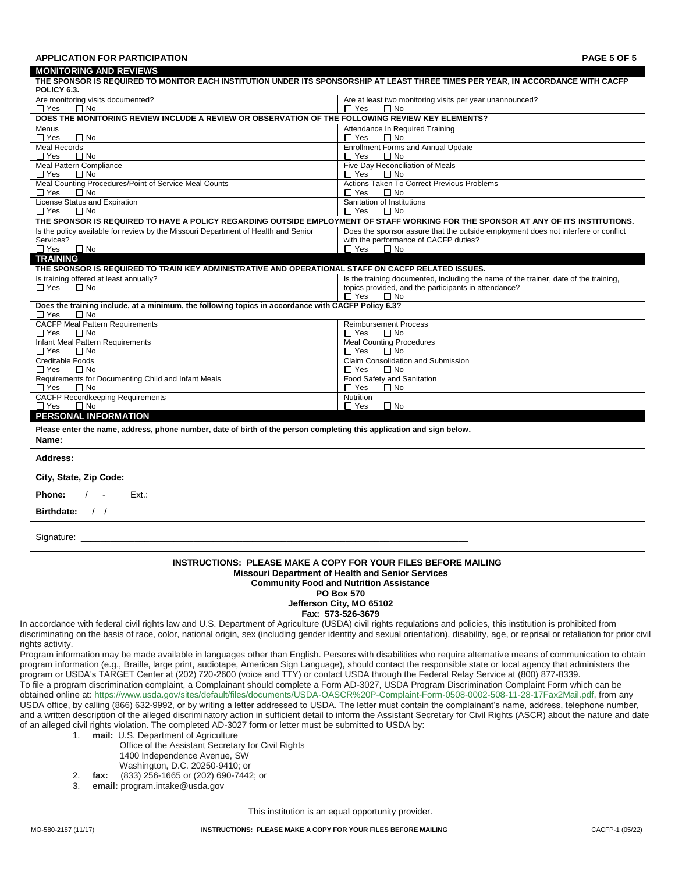| This institution is an equal opportunity provider. |  |  |
|----------------------------------------------------|--|--|

MO-580-2187 (11/17) **INSTRUCTIONS: PLEASE MAKE A COPY FOR YOUR FILES BEFORE MAILING** CACFP-1 (05/22)

#### **Missouri Department of Health and Senior Services Community Food and Nutrition Assistance PO Box 570 Jefferson City, MO 65102 Fax: 573-526-3679**

**INSTRUCTIONS: PLEASE MAKE A COPY FOR YOUR FILES BEFORE MAILING**

In accordance with federal civil rights law and U.S. Department of Agriculture (USDA) civil rights regulations and policies, this institution is prohibited from discriminating on the basis of race, color, national origin, sex (including gender identity and sexual orientation), disability, age, or reprisal or retaliation for prior civil rights activity.

Program information may be made available in languages other than English. Persons with disabilities who require alternative means of communication to obtain program information (e.g., Braille, large print, audiotape, American Sign Language), should contact the responsible state or local agency that administers the program or USDA's TARGET Center at (202) 720-2600 (voice and TTY) or contact USDA through the Federal Relay Service at (800) 877-8339. To file a program discrimination complaint, a Complainant should complete a Form AD-3027, USDA Program Discrimination Complaint Form which can be obtained online at[: https://www.usda.gov/sites/default/files/documents/USDA-OASCR%20P-Complaint-Form-0508-0002-508-11-28-17Fax2Mail.pdf,](https://www.usda.gov/sites/default/files/documents/USDA-OASCR%20P-Complaint-Form-0508-0002-508-11-28-17Fax2Mail.pdf) from any USDA office, by calling (866) 632-9992, or by writing a letter addressed to USDA. The letter must contain the complainant's name, address, telephone number, and a written description of the alleged discriminatory action in sufficient detail to inform the Assistant Secretary for Civil Rights (ASCR) about the nature and date

of an alleged civil rights violation. The completed AD-3027 form or letter must be submitted to USDA by:

1. **mail:** U.S. Department of Agriculture

 Office of the Assistant Secretary for Civil Rights 1400 Independence Avenue, SW Washington, D.C. 20250-9410; or<br>(833) 256-1665 or (202) 690-7442

- 
- 2. **fax:** (833) 256-1665 or (202) 690-7442; or 3. **email:** program.intake@usda.gov
	-

**APPLICATION FOR PARTICIPATION PAGE 5 OF 5** 

#### **MONITORING AND REVIEWS THE SPONSOR IS REQUIRED TO MONITOR EACH INSTITUTION UNDER ITS SPONSORSHIP AT LEAST THREE TIMES PER YEAR, IN ACCORDANCE WITH CACFP POLICY 6.3.** Are monitoring visits documented? Yes □ No Are at least two monitoring visits per year unannounced?

| $\Box$ Yes<br>$\Box$ No                                                                                                            | $\Box$ Yes<br>$\Box$ No                                                              |  |  |
|------------------------------------------------------------------------------------------------------------------------------------|--------------------------------------------------------------------------------------|--|--|
| DOES THE MONITORING REVIEW INCLUDE A REVIEW OR OBSERVATION OF THE FOLLOWING REVIEW KEY ELEMENTS?                                   |                                                                                      |  |  |
| Menus                                                                                                                              | Attendance In Required Training                                                      |  |  |
| $\Box$ Yes<br>$\Box$ No                                                                                                            | $\Box$ Yes<br>$\Box$ No                                                              |  |  |
| <b>Meal Records</b>                                                                                                                | <b>Enrollment Forms and Annual Update</b>                                            |  |  |
| $\Box$ No<br>$\Box$ Yes                                                                                                            | $\Box$ Yes<br>$\Box$ No                                                              |  |  |
| <b>Meal Pattern Compliance</b>                                                                                                     | Five Day Reconciliation of Meals                                                     |  |  |
| ∏ Yes<br>$\Box$ No                                                                                                                 | $\sqcap$ Yes<br>$\Box$ No                                                            |  |  |
| Meal Counting Procedures/Point of Service Meal Counts                                                                              | Actions Taken To Correct Previous Problems                                           |  |  |
| ∩ Yes<br>$\Box$ No                                                                                                                 | $\Box$ Yes<br>$\Box$ No                                                              |  |  |
| License Status and Expiration                                                                                                      | Sanitation of Institutions                                                           |  |  |
| $\Box$ No<br>$\Box$ Yes                                                                                                            | $\Box$ Yes<br>$\Box$ No                                                              |  |  |
| THE SPONSOR IS REQUIRED TO HAVE A POLICY REGARDING OUTSIDE EMPLOYMENT OF STAFF WORKING FOR THE SPONSOR AT ANY OF ITS INSTITUTIONS. |                                                                                      |  |  |
| Is the policy available for review by the Missouri Department of Health and Senior                                                 | Does the sponsor assure that the outside employment does not interfere or conflict   |  |  |
| Services?                                                                                                                          | with the performance of CACFP duties?                                                |  |  |
| $\Box$ Yes<br>$\Box$ No                                                                                                            | $\Box$ Yes<br>$\Box$ No                                                              |  |  |
| <b>TRAINING</b>                                                                                                                    |                                                                                      |  |  |
| THE SPONSOR IS REQUIRED TO TRAIN KEY ADMINISTRATIVE AND OPERATIONAL STAFF ON CACFP RELATED ISSUES.                                 |                                                                                      |  |  |
| Is training offered at least annually?                                                                                             | Is the training documented, including the name of the trainer, date of the training, |  |  |
| $\Box$ Yes<br>$\Box$ No                                                                                                            | topics provided, and the participants in attendance?                                 |  |  |
|                                                                                                                                    | $\Box$ Yes<br>$\Box$ No                                                              |  |  |
| Does the training include, at a minimum, the following topics in accordance with CACFP Policy 6.3?                                 |                                                                                      |  |  |
| $\Box$ Yes<br>$\Box$ No                                                                                                            |                                                                                      |  |  |
| <b>CACFP Meal Pattern Requirements</b>                                                                                             | <b>Reimbursement Process</b>                                                         |  |  |
| $\Box$ No<br>∩ Yes                                                                                                                 | $\Box$ Yes<br>$\Box$ No                                                              |  |  |
| Infant Meal Pattern Requirements                                                                                                   | <b>Meal Counting Procedures</b>                                                      |  |  |
| ∩ Yes<br>$\Box$ No                                                                                                                 | $\sqcap$ Yes<br>$\Box$ No                                                            |  |  |
| Creditable Foods                                                                                                                   | Claim Consolidation and Submission                                                   |  |  |
| $\Box$ Yes<br>$\Box$ No                                                                                                            | $\square$ Yes<br>$\Box$ No                                                           |  |  |
| Requirements for Documenting Child and Infant Meals                                                                                | Food Safety and Sanitation                                                           |  |  |
| $\Box$ Yes<br>$\square$ No                                                                                                         | $\Box$ Yes<br>$\Box$ No                                                              |  |  |
| <b>CACFP Recordkeeping Requirements</b>                                                                                            | Nutrition                                                                            |  |  |
| $\Box$ Yes<br>$\Box$ No                                                                                                            | $\Box$ Yes<br>$\square$ No                                                           |  |  |
| <b>PERSONAL INFORMATION</b>                                                                                                        |                                                                                      |  |  |
| Please enter the name, address, phone number, date of birth of the person completing this application and sign below.              |                                                                                      |  |  |
| Name:                                                                                                                              |                                                                                      |  |  |
|                                                                                                                                    |                                                                                      |  |  |
| Address:                                                                                                                           |                                                                                      |  |  |
|                                                                                                                                    |                                                                                      |  |  |
| City, State, Zip Code:                                                                                                             |                                                                                      |  |  |
|                                                                                                                                    |                                                                                      |  |  |
| Ext.<br><b>Phone:</b><br>$\blacksquare$                                                                                            |                                                                                      |  |  |
| <b>Birthdate:</b><br>$\left  \begin{array}{c} \end{array} \right $                                                                 |                                                                                      |  |  |
|                                                                                                                                    |                                                                                      |  |  |
| Signature:                                                                                                                         |                                                                                      |  |  |
|                                                                                                                                    |                                                                                      |  |  |
|                                                                                                                                    |                                                                                      |  |  |